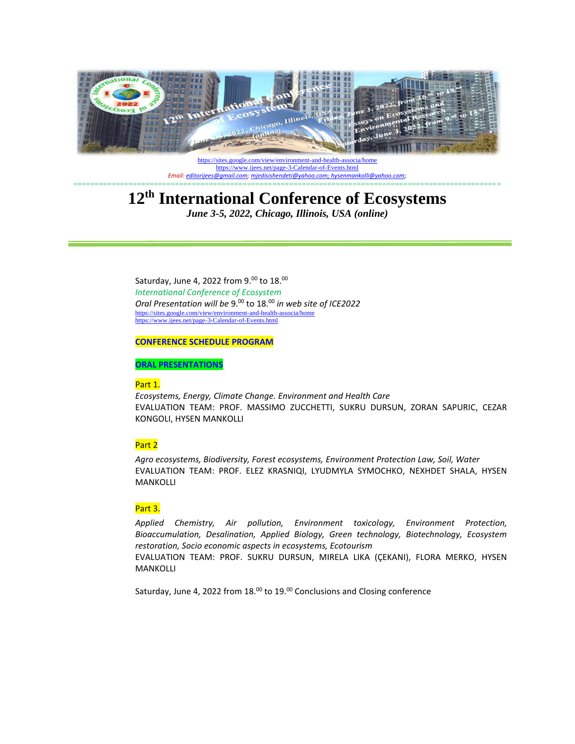

https://sites.com/view/environment-and-health-associa/home <https://www.ijees.net/page-3-Calendar-of-Events.html> *Email: [editorijees@gmail.com;](mailto:editorijees@gmail.com) [mjedisishendeti@yahoo.com;](mailto:mjedisi_shendeti@yahoo.it) [hysenmankolli@yahoo.com;](mailto:hysenmankolli@yahoo.com)*

# ===================================================================================================== **12 th International Conference of Ecosystems**

*June 3-5, 2022, Chicago, Illinois, USA (online)*

Saturday, June 4, 2022 from 9. $^{00}$  to 18. $^{00}$ *International Conference of Ecosystem Oral Presentation will be* 9. <sup>00</sup> to 18. <sup>00</sup> *in web site of ICE2022* <https://sites.google.com/view/environment-and-health-associa/home> <https://www.ijees.net/page-3-Calendar-of-Events.html>

**CONFERENCE SCHEDULE PROGRAM**

**ORAL PRESENTATIONS**

### Part 1.

*Ecosystems, Energy, Climate Change. Environment and Health Care* EVALUATION TEAM: PROF. MASSIMO ZUCCHETTI, SUKRU DURSUN, ZORAN SAPURIC, CEZAR KONGOLI, HYSEN MANKOLLI

### Part 2

*Agro ecosystems, Biodiversity, Forest ecosystems, Environment Protection Law, Soil, Water*  EVALUATION TEAM: PROF. ELEZ KRASNIQI, LYUDMYLA SYMOCHKO, NEXHDET SHALA, HYSEN MANKOLLI

### Part 3.

*Applied Chemistry, Air pollution, Environment toxicology, Environment Protection, Bioaccumulation, Desalination, Applied Biology, Green technology, Biotechnology, Ecosystem restoration, Socio economic aspects in ecosystems, Ecotourism*

EVALUATION TEAM: PROF. SUKRU DURSUN, MIRELA LIKA (ÇEKANI), FLORA MERKO, HYSEN MANKOLLI

Saturday, June 4, 2022 from 18.<sup>00</sup> to 19.<sup>00</sup> Conclusions and Closing conference